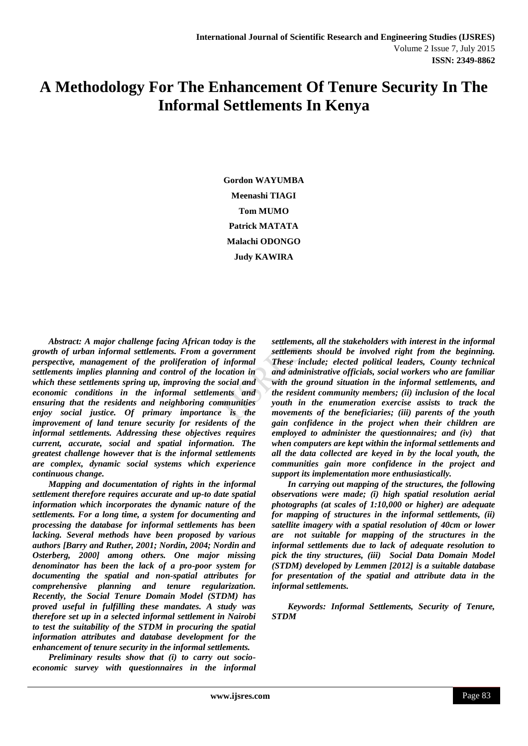# **A Methodology For The Enhancement Of Tenure Security In The Informal Settlements In Kenya**

**Gordon WAYUMBA Meenashi TIAGI Tom MUMO Patrick MATATA Malachi ODONGO Judy KAWIRA**

*Abstract: A major challenge facing African today is the growth of urban informal settlements. From a government perspective, management of the proliferation of informal settlements implies planning and control of the location in which these settlements spring up, improving the social and economic conditions in the informal settlements and ensuring that the residents and neighboring communities enjoy social justice. Of primary importance is the improvement of land tenure security for residents of the informal settlements. Addressing these objectives requires current, accurate, social and spatial information. The greatest challenge however that is the informal settlements are complex, dynamic social systems which experience continuous change.* 

*Mapping and documentation of rights in the informal settlement therefore requires accurate and up-to date spatial information which incorporates the dynamic nature of the settlements. For a long time, a system for documenting and processing the database for informal settlements has been lacking. Several methods have been proposed by various authors [Barry and Ruther, 2001; Nordin, 2004; Nordin and Osterberg, 2000] among others. One major missing denominator has been the lack of a pro-poor system for documenting the spatial and non-spatial attributes for comprehensive planning and tenure regularization. Recently, the Social Tenure Domain Model (STDM) has proved useful in fulfilling these mandates. A study was therefore set up in a selected informal settlement in Nairobi to test the suitability of the STDM in procuring the spatial information attributes and database development for the enhancement of tenure security in the informal settlements.*

*Preliminary results show that (i) to carry out socioeconomic survey with questionnaires in the informal*  *settlements, all the stakeholders with interest in the informal settlements should be involved right from the beginning. These include; elected political leaders, County technical and administrative officials, social workers who are familiar with the ground situation in the informal settlements, and the resident community members; (ii) inclusion of the local youth in the enumeration exercise assists to track the movements of the beneficiaries; (iii) parents of the youth gain confidence in the project when their children are employed to administer the questionnaires; and (iv) that when computers are kept within the informal settlements and all the data collected are keyed in by the local youth, the communities gain more confidence in the project and support its implementation more enthusiastically.* 

*In carrying out mapping of the structures, the following observations were made; (i) high spatial resolution aerial photographs (at scales of 1:10,000 or higher) are adequate for mapping of structures in the informal settlements, (ii) satellite imagery with a spatial resolution of 40cm or lower are not suitable for mapping of the structures in the informal settlements due to lack of adequate resolution to pick the tiny structures, (iii) Social Data Domain Model (STDM) developed by Lemmen [2012] is a suitable database for presentation of the spatial and attribute data in the informal settlements.*

*Keywords: Informal Settlements, Security of Tenure, STDM*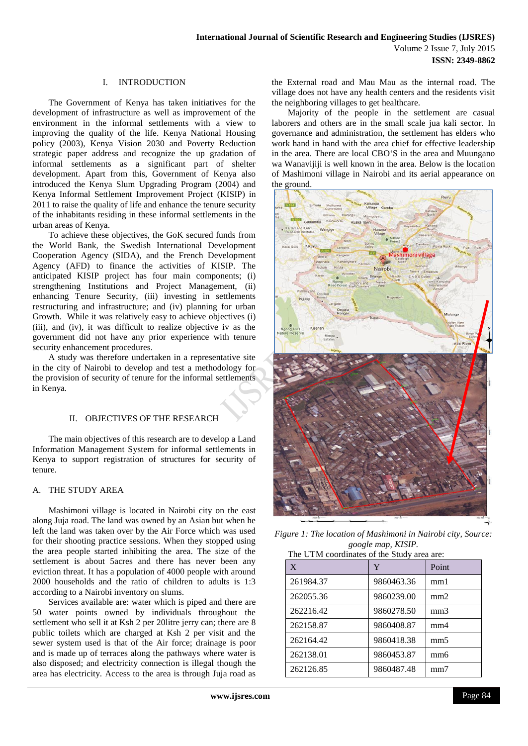## I. INTRODUCTION

The Government of Kenya has taken initiatives for the development of infrastructure as well as improvement of the environment in the informal settlements with a view to improving the quality of the life. Kenya National Housing policy (2003), Kenya Vision 2030 and Poverty Reduction strategic paper address and recognize the up gradation of informal settlements as a significant part of shelter development. Apart from this, Government of Kenya also introduced the Kenya Slum Upgrading Program (2004) and Kenya Informal Settlement Improvement Project (KISIP) in 2011 to raise the quality of life and enhance the tenure security of the inhabitants residing in these informal settlements in the urban areas of Kenya.

To achieve these objectives, the GoK secured funds from the World Bank, the Swedish International Development Cooperation Agency (SIDA), and the French Development Agency (AFD) to finance the activities of KISIP. The anticipated KISIP project has four main components; (i) strengthening Institutions and Project Management, (ii) enhancing Tenure Security, (iii) investing in settlements restructuring and infrastructure; and (iv) planning for urban Growth. While it was relatively easy to achieve objectives (i) (iii), and (iv), it was difficult to realize objective iv as the government did not have any prior experience with tenure security enhancement procedures.

A study was therefore undertaken in a representative site in the city of Nairobi to develop and test a methodology for the provision of security of tenure for the informal settlements in Kenya.

#### II. OBJECTIVES OF THE RESEARCH

The main objectives of this research are to develop a Land Information Management System for informal settlements in Kenya to support registration of structures for security of tenure.

## A. THE STUDY AREA

Mashimoni village is located in Nairobi city on the east along Juja road. The land was owned by an Asian but when he left the land was taken over by the Air Force which was used for their shooting practice sessions. When they stopped using the area people started inhibiting the area. The size of the settlement is about 5acres and there has never been any eviction threat. It has a population of 4000 people with around 2000 households and the ratio of children to adults is 1:3 according to a Nairobi inventory on slums.

Services available are: water which is piped and there are 50 water points owned by individuals throughout the settlement who sell it at Ksh 2 per 20litre jerry can; there are 8 public toilets which are charged at Ksh 2 per visit and the sewer system used is that of the Air force; drainage is poor and is made up of terraces along the pathways where water is also disposed; and electricity connection is illegal though the area has electricity. Access to the area is through Juja road as

the External road and Mau Mau as the internal road. The village does not have any health centers and the residents visit the neighboring villages to get healthcare.

Majority of the people in the settlement are casual laborers and others are in the small scale jua kali sector. In governance and administration, the settlement has elders who work hand in hand with the area chief for effective leadership in the area. There are local CBO'S in the area and Muungano wa Wanavijiji is well known in the area. Below is the location of Mashimoni village in Nairobi and its aerial appearance on the ground.



*Figure 1: The location of Mashimoni in Nairobi city, Source: google map, KISIP.* The UTM coordinates of the Study area are:

| $\mathbf{X}$ | Y          | Point           |
|--------------|------------|-----------------|
| 261984.37    | 9860463.36 | mm1             |
| 262055.36    | 9860239.00 | mm2             |
| 262216.42    | 9860278.50 | mm <sub>3</sub> |
| 262158.87    | 9860408.87 | mm4             |
| 262164.42    | 9860418.38 | mm <sub>5</sub> |
| 262138.01    | 9860453.87 | mm <sub>6</sub> |
| 262126.85    | 9860487.48 | mm7             |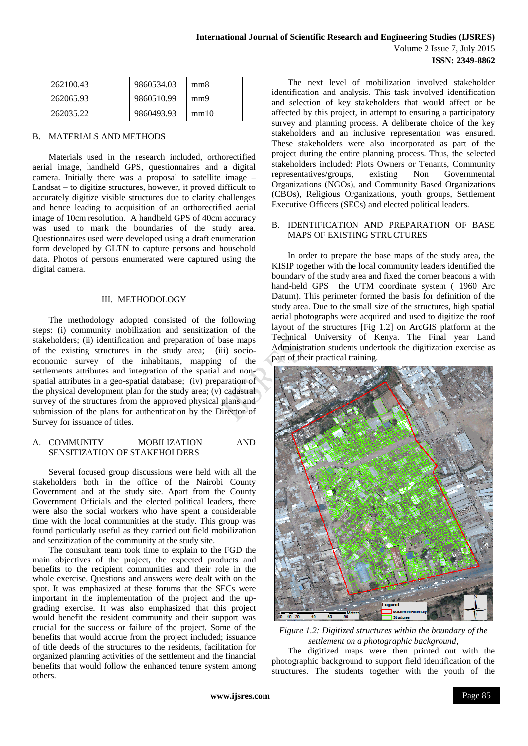| 262100.43 | 9860534.03 | mm8  |
|-----------|------------|------|
| 262065.93 | 9860510.99 | mm9  |
| 262035.22 | 9860493.93 | mm10 |

## B. MATERIALS AND METHODS

Materials used in the research included, orthorectified aerial image, handheld GPS, questionnaires and a digital camera. Initially there was a proposal to satellite image – Landsat – to digitize structures, however, it proved difficult to accurately digitize visible structures due to clarity challenges and hence leading to acquisition of an orthorectified aerial image of 10cm resolution. A handheld GPS of 40cm accuracy was used to mark the boundaries of the study area. Questionnaires used were developed using a draft enumeration form developed by GLTN to capture persons and household data. Photos of persons enumerated were captured using the digital camera.

## III. METHODOLOGY

The methodology adopted consisted of the following steps: (i) community mobilization and sensitization of the stakeholders; (ii) identification and preparation of base maps of the existing structures in the study area; (iii) socioeconomic survey of the inhabitants, mapping of the settlements attributes and integration of the spatial and nonspatial attributes in a geo-spatial database; (iv) preparation of the physical development plan for the study area; (v) cadastral survey of the structures from the approved physical plans and submission of the plans for authentication by the Director of Survey for issuance of titles.

### A. COMMUNITY MOBILIZATION AND SENSITIZATION OF STAKEHOLDERS

Several focused group discussions were held with all the stakeholders both in the office of the Nairobi County Government and at the study site. Apart from the County Government Officials and the elected political leaders, there were also the social workers who have spent a considerable time with the local communities at the study. This group was found particularly useful as they carried out field mobilization and senzitization of the community at the study site.

The consultant team took time to explain to the FGD the main objectives of the project, the expected products and benefits to the recipient communities and their role in the whole exercise. Questions and answers were dealt with on the spot. It was emphasized at these forums that the SECs were important in the implementation of the project and the upgrading exercise. It was also emphasized that this project would benefit the resident community and their support was crucial for the success or failure of the project. Some of the benefits that would accrue from the project included; issuance of title deeds of the structures to the residents, facilitation for organized planning activities of the settlement and the financial benefits that would follow the enhanced tenure system among others.

The next level of mobilization involved stakeholder identification and analysis. This task involved identification and selection of key stakeholders that would affect or be affected by this project, in attempt to ensuring a participatory survey and planning process. A deliberate choice of the key stakeholders and an inclusive representation was ensured. These stakeholders were also incorporated as part of the project during the entire planning process. Thus, the selected stakeholders included: Plots Owners or Tenants, Community representatives/groups, existing Non Governmental Organizations (NGOs), and Community Based Organizations (CBOs), Religious Organizations, youth groups, Settlement Executive Officers (SECs) and elected political leaders.

#### B. IDENTIFICATION AND PREPARATION OF BASE MAPS OF EXISTING STRUCTURES

In order to prepare the base maps of the study area, the KISIP together with the local community leaders identified the boundary of the study area and fixed the corner beacons a with hand-held GPS the UTM coordinate system ( 1960 Arc Datum). This perimeter formed the basis for definition of the study area. Due to the small size of the structures, high spatial aerial photographs were acquired and used to digitize the roof layout of the structures [Fig 1.2] on ArcGIS platform at the Technical University of Kenya. The Final year Land Administration students undertook the digitization exercise as part of their practical training.



*Figure 1.2: Digitized structures within the boundary of the settlement on a photographic background,*

The digitized maps were then printed out with the photographic background to support field identification of the structures. The students together with the youth of the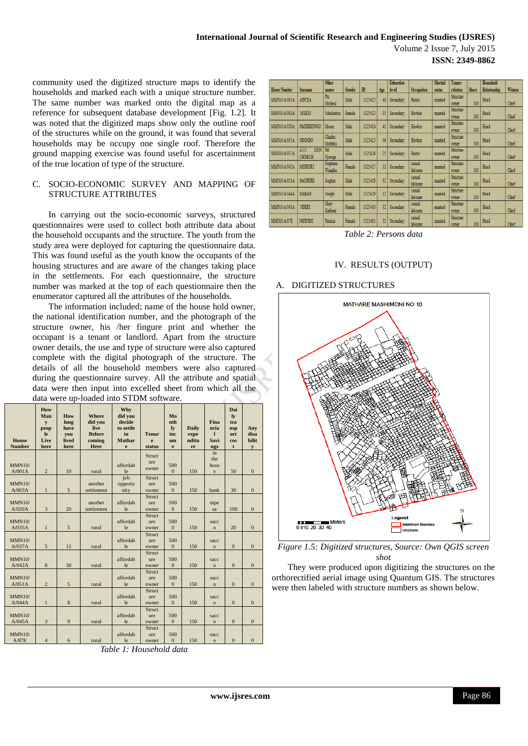Volume 2 Issue 7, July 2015 ISSN: 2349-8862

community used the digitized structure maps to identify the households and marked each with a unique structure number. The same number was marked onto the digital map as a reference for subsequent database development [Fig. 1.2]. It was noted that the digitized maps show only the outline roof of the structures while on the ground, it was found that several households may be occupy one single roof. Therefore the ground mapping exercise was found useful for ascertainment of the true location of type of the structure.

# C. SOCIO-ECONOMIC SURVEY AND MAPPING OF **STRUCTURE ATTRIBUTES**

In carrying out the socio-economic surveys, structured questionnaires were used to collect both attribute data about the household occupants and the structure. The youth from the study area were deployed for capturing the questionnaire data. This was found useful as the youth know the occupants of the housing structures and are aware of the changes taking place in the settlements. For each questionnaire, the structure number was marked at the top of each questionnaire then the enumerator captured all the attributes of the households.

The information included; name of the house hold owner, the national identification number, and the photograph of the structure owner, his /her fingure print and whether the occupant is a tenant or landlord. Apart from the structure owner details, the use and type of structure were also captured complete with the digital photograph of the structure. The details of all the household members were also captured during the questionnaire survey. All the attribute and spatial data were then input into excelled sheet from which all the data were up-loaded into STDM software.

| <b>House</b><br><b>Number</b> | How<br>Man<br>$\mathbf{v}$<br>peop<br>le.<br>Live<br>here | How<br>long<br>have<br>you<br>lived<br>here | <b>Where</b><br>did you<br>live<br><b>Before</b><br>coming<br>Here | Why<br>did you<br>decide<br>to settle<br>in<br><b>Mathar</b><br>e | <b>Tenur</b><br>e<br>status | Mo<br>nth<br>$\mathbf{I}\mathbf{v}$<br>inc<br>om<br>e | <b>Daily</b><br>expe<br>nditu<br>re | <b>Fina</b><br>ncia<br>$\mathbf{I}$<br>Savi<br>ngs | Dai<br>ly<br>tra<br>nsp<br>ort<br><b>cos</b><br>t | Any<br>disa<br>bilit<br>y |
|-------------------------------|-----------------------------------------------------------|---------------------------------------------|--------------------------------------------------------------------|-------------------------------------------------------------------|-----------------------------|-------------------------------------------------------|-------------------------------------|----------------------------------------------------|---------------------------------------------------|---------------------------|
| MMN10/<br>A/001A              | $\overline{c}$                                            | 10                                          | rural                                                              | affordab<br>le                                                    | Struct<br>ure<br>owner      | 500<br>$\Omega$                                       | 150                                 | in<br>the<br>hous<br>$\rm e$                       | 50                                                | $\mathbf{0}$              |
| MMN10/<br>A/003A              | $\mathbf{1}$                                              | 5                                           | another<br>settlement                                              | job<br>opportu<br>nity                                            | Struct<br>ure<br>owner      | 500<br>$\mathbf{0}$                                   | 150                                 | bank                                               | 30                                                | $\mathbf{0}$              |
| MMN10/<br>A/020A              | $\overline{3}$                                            | 20                                          | another<br>settlement                                              | affordab<br>le                                                    | Struct<br>ure<br>owner      | 500<br>$\mathbf{0}$                                   | 150                                 | mpe<br>sa                                          | 100                                               | $\overline{0}$            |
| MMN10/<br>A/035A              | $\mathbf{1}$                                              | 5                                           | rural                                                              | affordab<br>le                                                    | Struct<br>ure<br>owner      | 500<br>$\mathbf{0}$                                   | 150                                 | sacc<br>$\mathbf{o}$                               | 20                                                | $\overline{0}$            |
| MMN10/<br>A/037A              | 5                                                         | 12                                          | rural                                                              | affordab<br>le                                                    | Struct<br>ure<br>owner      | 500<br>$\mathbf{0}$                                   | 150                                 | sacc<br>$\mathbf{o}$                               | $\mathbf{0}$                                      | $\overline{0}$            |
| MMN10/<br>A/042A              | 8                                                         | 30                                          | rural                                                              | affordab<br>le                                                    | Struct<br>ure<br>owner      | 500<br>$\mathbf{0}$                                   | 150                                 | sacc<br>$\mathbf{o}$                               | $\mathbf{0}$                                      | $\mathbf{0}$              |
| MMN10/<br>A/051A              | $\overline{2}$                                            | 5                                           | rural                                                              | affordab<br>le                                                    | Struct<br>ure<br>owner      | 500<br>$\mathbf{0}$                                   | 150                                 | sacc<br>$\mathbf{o}$                               | $\mathbf{0}$                                      | $\overline{0}$            |
| MMN10/<br>A/044A              | $\mathbf{1}$                                              | 8                                           | rural                                                              | affordab<br>le                                                    | Struct<br>ure<br>owner      | 500<br>$\overline{0}$                                 | 150                                 | sacc<br>$\mathbf{o}$                               | $\mathbf{0}$                                      | $\overline{0}$            |
| MMN10/<br>A/045A              | $\overline{3}$                                            | 9                                           | rural                                                              | affordab<br>le                                                    | Struct<br>ure<br>owner      | 500<br>$\mathbf{0}$                                   | 150                                 | sacc<br>$\circ$                                    | $\mathbf{0}$                                      | $\mathbf{0}$              |
| MMN10/<br>1.07T               |                                                           |                                             | - 11                                                               | affordab<br><b>TEL:</b>                                           | Struct<br>ure               | 500<br>$\sim$                                         | 1.50                                | sacc                                               | $\sim$                                            |                           |

Table 1: Household data

|                     |                | Other          |        |              |     | <b>Education</b> |            | <b>Marital</b> | Tenure           |              | Household    |                |
|---------------------|----------------|----------------|--------|--------------|-----|------------------|------------|----------------|------------------|--------------|--------------|----------------|
|                     |                |                |        |              |     |                  |            |                |                  |              |              |                |
| <b>House Number</b> | Surname        | names          | Gender | $\mathbb{D}$ | Age | level            | Occupation | status         | relation         | <b>Share</b> | Relationship | <b>Witness</b> |
|                     |                | Pst.           |        |              |     |                  |            |                | Structure        |              |              |                |
| MMN10/A/001A        | <b>AIPCEA</b>  | Micheal        | Male   | 1325422      | 40  | Secondary        | Pastor     | mamied         | owner            | 100          | Head         | Chief          |
|                     |                |                |        |              |     |                  |            |                | Structure        |              |              |                |
| MMN10/A/003A        | <b>MUENI</b>   | Scholastica    | Female | 1325423      | 35  | Secondary        | Hawker     | mamied         | owner            | 100          | Head         | Chief          |
|                     |                |                |        |              |     |                  |            |                | Structure        |              |              |                |
| MMN10/A/020A        | OMUKHONGO      | <b>Moses</b>   | Male   | 1325424      | 41  | Secondary        | Hawker     | manied         | owner            | 100          | Head         | Chief          |
|                     |                |                |        |              |     |                  |            |                |                  |              |              |                |
| MMN10/A/035A        | NDONDO         | <b>Charles</b> | Male   | 1325425      | 36  | Secondary        | Hawker     | mamied         | <b>Structure</b> |              | Head         |                |
|                     |                | Muthika        |        |              |     |                  |            |                | owner            | 100          |              | Chief          |
| MMN10/A/037A        | ZION<br>AI.C   | Pst.           |        |              |     |                  |            |                | <b>Structure</b> |              |              |                |
|                     | <b>CHURCH</b>  | Njoroge        | Male   | 1325426      | 25  | Secondary        | Pastor     | mamied         | owner            | 100          | Head         | Chief          |
|                     |                | Josphene       |        |              |     |                  | casual     |                | Structure        |              |              |                |
| MMN10/A/042A        | MUIRURI        | Wanjiku        | Female | 1325427      | 32  | Secondary        | labourer   | mamied         | owner            | 100          | Head         | Chief          |
|                     |                |                |        |              |     |                  | casual     |                | Structure        |              |              |                |
| MMN10/A/051A        | <b>GACHUKI</b> | Josphat        | Male   | 1325428      | 32  | Secondary        | labourer   | mamied         | owner            | 100          | Head         | Chief          |
|                     |                |                |        |              |     |                  | casual     |                | <b>Structure</b> |              |              |                |
| MMN10/A/044A        | <b>MAKAU</b>   | Joseph         | Male   | 1325429      | 32  | Secondary        |            | mamied         |                  |              | Head         |                |
|                     |                |                |        |              |     |                  | labourer   |                | owner            | 100          |              | Chief          |
| MMN10/A/045A        | <b>NDERI</b>   | Mary           | Female | 1325430      | 32  | Secondary        | casual     | mamied         | <b>Structure</b> |              | Head         |                |
|                     |                | Gathoni        |        |              |     |                  | labourer   |                | owner            | 100          |              | Chief          |
|                     |                |                |        |              |     |                  | casual     |                | Structure        |              |              |                |
| <b>MMN10/A/87E</b>  | <b>NGENDO</b>  | Patricia       | Female | 1325431      | 32  | Secondary        | labourer   | mamied         | owner            | 100          | Head         | Chief          |

Table 2: Persons data

# IV. RESULTS (OUTPUT)

# A. DIGITIZED STRUCTURES



Figure 1.5: Digitized structures, Source: Own QGIS screen shot

They were produced upon digitizing the structures on the orthorectified aerial image using Quantum GIS. The structures were then labeled with structure numbers as shown below.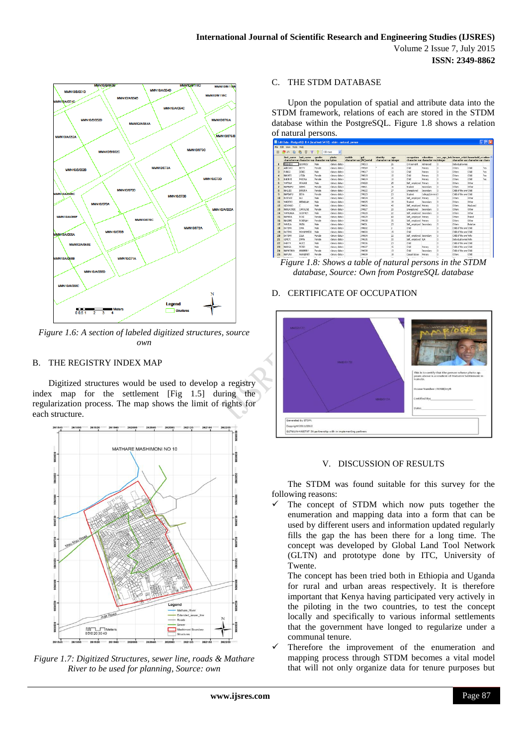

*Figure 1.6: A section of labeled digitized structures, source own*

# B. THE REGISTRY INDEX MAP

Digitized structures would be used to develop a registry index map for the settlement [Fig 1.5] during the regularization process. The map shows the limit of rights for each structure.



*Figure 1.7: Digitized Structures, sewer line, roads & Mathare River to be used for planning, Source: own*

# C. THE STDM DATABASE

Upon the population of spatial and attribute data into the STDM framework, relations of each are stored in the STDM database within the PostgreSQL. Figure 1.8 shows a relation of natural persons.

|                | File Edit View Tools Help |                                                              |          |               |                         |                    |                                   |         |                                                   |                    |                |                                                                                        |          |            |
|----------------|---------------------------|--------------------------------------------------------------|----------|---------------|-------------------------|--------------------|-----------------------------------|---------|---------------------------------------------------|--------------------|----------------|----------------------------------------------------------------------------------------|----------|------------|
|                |                           |                                                              | 100 rows |               |                         |                    |                                   |         |                                                   |                    |                |                                                                                        |          |            |
|                | first_name                | last name<br>character var character var character var bytea | gender   | nhoto         | mobile<br>character var | aid<br>[PK] serial | identity<br>character var integer | age     | occupation<br>character var character var integer | education          |                | occ. age. belc tenure, relati household, re witne<br>character var character var chara |          |            |
| 1              | <b>MLISHESO</b>           | <b>GEOFREY</b>                                               | Male     | chinary data> |                         | 294513             |                                   | 26      | <b>Civil servant</b>                              | Advanced           | 'n             | Individual overes                                                                      |          |            |
| $\overline{z}$ | ARBOWO                    | BETTY                                                        | Female   | <br>data>     |                         | 294569             | ٠                                 | 16      | Châd                                              | Primary            | b              | Others                                                                                 | Child    | Yes        |
| 3              | <b>FLINGO</b>             | DENIS                                                        | Male     | <br>data>     |                         | 294617             |                                   | 13      | Child                                             | Primary            | 'n             | Others                                                                                 | Child    | Yes        |
| A              | NAKATO                    | LYDEA                                                        | Female   | chinary data> |                         | 294618             |                                   | 10      | chád                                              | Primary            | o              | Others                                                                                 | child    | <b>Yes</b> |
| s              | BABIRYE                   | PHOCAIA                                                      | Female   | chinary data> |                         | 294619             |                                   | 10      | Châd                                              | Primary            | 'n             | Others                                                                                 | Child    | <b>Yes</b> |
| 6              | WAFI LA                   | ARA148                                                       | Male     | <br>data>     |                         | 294620             |                                   | 25      | Self engined Primary                              |                    | 'n.            | Others                                                                                 | Other    |            |
| $\overline{ }$ | NAMEAFU                   | ATSHA                                                        | Female   | chinary data> |                         | 294621             |                                   | 16      | Student                                           | Secondary          | $\overline{a}$ | Others                                                                                 | Other    |            |
| $\mathbf{a}$   | NAGLID!                   | BARBRA                                                       | Female   | chinary data> |                         | 294622             |                                   | $_{22}$ | <b>Linemployed</b>                                | Secondary          | o              | Child of the over Child                                                                |          |            |
| $\ddot{q}$     | NAMBAFU                   | <b>RFRA</b>                                                  | Female   | <br>data>     |                         | 294623             |                                   | 23      | Student:                                          | College/Universi 0 |                | Child of the over Child                                                                |          |            |
| 10             | <b>BUSENSE</b>            | ALT                                                          | Male     | <br>data>     |                         | 294624             |                                   | 26      | Self engigeed Primary                             |                    | 'n             | Others                                                                                 | Other    |            |
| $\mathbf{11}$  | WADERO                    | <b>AECALLAH</b>                                              | Male     | chinary data> |                         | 294625             |                                   | 18      | Student                                           | Secondary          | o              | Others                                                                                 | Other    |            |
| 12             | GIDOMGO                   |                                                              | Male     | <br>data>     |                         | 294626             |                                   | 40      | Self engloved Primary                             |                    | b              | Others                                                                                 | Husband  |            |
| 13             | NARLKOADE                 | CAROLINE                                                     | Female   | <br>data>     |                         | 294627             |                                   | 20      | Unemployed                                        | Secondary          | 'n             | Others                                                                                 | Other    |            |
| 14             | <b>WAM NGA</b>            | GODEREY                                                      | Male     | chinary data> |                         | 294628             |                                   | 22      | Self engineed Secondary                           |                    | h              | Others                                                                                 | Other    |            |
| 15             | NAMARA                    | ROSE                                                         | Female   | chinary data> |                         | 294629             |                                   | ka      | Self engibyed Primary                             |                    | ň              | Others                                                                                 | Friend   |            |
| 16             | NAGAME                    | ROBINAH                                                      | Female   | <br>data>     |                         | 294630             |                                   | 35      | Self engloved Primary                             |                    | 'n.            | Others                                                                                 | Other    |            |
| 17             | WAYD A                    | <b>MLISA</b>                                                 | Male     | chinary data> |                         | 294630             |                                   | 23      | Self employed Secondary                           |                    | $\overline{0}$ | Others                                                                                 | Relative |            |
| 18             | DATEMA                    | 15MA                                                         | Male     | chinary data> |                         | 294632             |                                   | Iz.     | chád                                              |                    | 'n             | Child of the over Child                                                                |          |            |
| 19             | DATEMA                    | <b>MOHAMMEDE</b>                                             | Main     | <br>data>     |                         | 294633             |                                   | 15      | Child                                             |                    | ń              | Child of the over Child                                                                |          |            |
| 20             | DATEMA                    | ZULA                                                         | Female   | <br>data>     |                         | 294634             |                                   | 22      | Self engineed Secondary                           |                    | 'n             | Child of the over Wife                                                                 |          |            |
| 21             | <b>GIMEYE</b>             | EMMA                                                         | Female   | chinary data> |                         | 294635             |                                   | 30      | Self employed NIA                                 |                    | 'n             | Industrial comes Wife                                                                  |          |            |
| 22             | KADITH                    | <b>ALICE</b>                                                 | Male     | chinary data> |                         | 294636             |                                   | $_{23}$ | Châd                                              |                    | ň              | Child of the over Child                                                                |          |            |
| 23             | NABIGA                    | PETER                                                        | Male     | <br>data>     |                         | 294637             |                                   | 15      | Child                                             | Primary            | o              | Child of the own Child                                                                 |          |            |
| 24             | NAMATAKA                  | <b>ANNONARY</b>                                              | Female   | chinary data> |                         | 294638             |                                   | 13      | chád                                              | Secondary          | o              | Child of the over Child                                                                |          |            |
| 25             | NAFLINA                   | MARGERET                                                     | Female   | chinary data> |                         | 294639             |                                   | 18      | Casual labour                                     | Primary            | b              | Others                                                                                 | child    |            |

*Figure 1.8: Shows a table of natural persons in the STDM database, Source: Own from PostgreSQL database*

# D. CERTIFICATE OF OCCUPATION



# V. DISCUSSION OF RESULTS

The STDM was found suitable for this survey for the following reasons:

 The concept of STDM which now puts together the enumeration and mapping data into a form that can be used by different users and information updated regularly fills the gap the has been there for a long time. The concept was developed by Global Land Tool Network (GLTN) and prototype done by ITC, University of Twente.

The concept has been tried both in Ethiopia and Uganda for rural and urban areas respectively. It is therefore important that Kenya having participated very actively in the piloting in the two countries, to test the concept locally and specifically to various informal settlements that the government have longed to regularize under a communal tenure.

 Therefore the improvement of the enumeration and mapping process through STDM becomes a vital model that will not only organize data for tenure purposes but